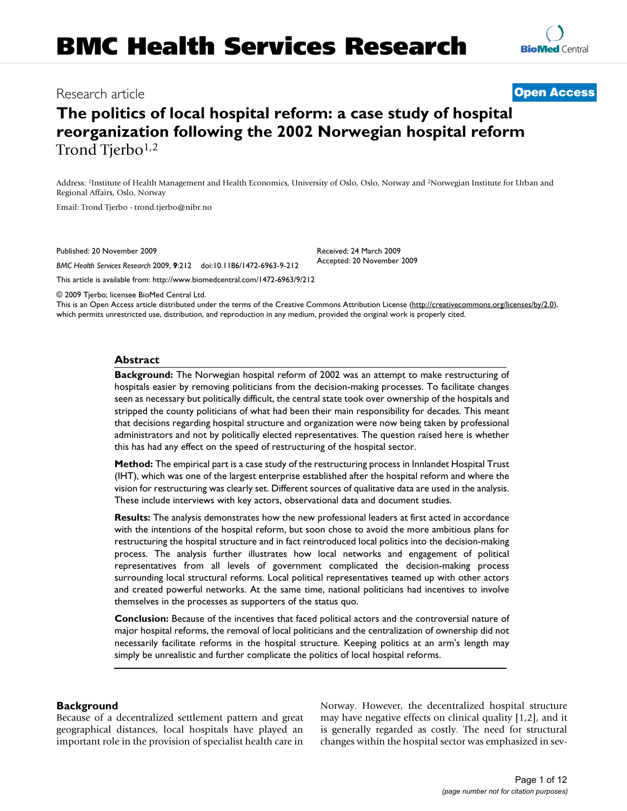## Research article **[Open Access](http://www.biomedcentral.com/info/about/charter/)**

# **The politics of local hospital reform: a case study of hospital reorganization following the 2002 Norwegian hospital reform** Trond Tjerbo<sup>1,2</sup>

Address: 1Institute of Health Management and Health Economics, University of Oslo, Oslo, Norway and 2Norwegian Institute for Urban and Regional Affairs, Oslo, Norway

Email: Trond Tjerbo - trond.tjerbo@nibr.no

Published: 20 November 2009

*BMC Health Services Research* 2009, **9**:212 doi:10.1186/1472-6963-9-212

[This article is available from: http://www.biomedcentral.com/1472-6963/9/212](http://www.biomedcentral.com/1472-6963/9/212)

© 2009 Tjerbo; licensee BioMed Central Ltd.

This is an Open Access article distributed under the terms of the Creative Commons Attribution License [\(http://creativecommons.org/licenses/by/2.0\)](http://creativecommons.org/licenses/by/2.0), which permits unrestricted use, distribution, and reproduction in any medium, provided the original work is properly cited.

Received: 24 March 2009 Accepted: 20 November 2009

#### **Abstract**

**Background:** The Norwegian hospital reform of 2002 was an attempt to make restructuring of hospitals easier by removing politicians from the decision-making processes. To facilitate changes seen as necessary but politically difficult, the central state took over ownership of the hospitals and stripped the county politicians of what had been their main responsibility for decades. This meant that decisions regarding hospital structure and organization were now being taken by professional administrators and not by politically elected representatives. The question raised here is whether this has had any effect on the speed of restructuring of the hospital sector.

**Method:** The empirical part is a case study of the restructuring process in Innlandet Hospital Trust (IHT), which was one of the largest enterprise established after the hospital reform and where the vision for restructuring was clearly set. Different sources of qualitative data are used in the analysis. These include interviews with key actors, observational data and document studies.

**Results:** The analysis demonstrates how the new professional leaders at first acted in accordance with the intentions of the hospital reform, but soon chose to avoid the more ambitious plans for restructuring the hospital structure and in fact reintroduced local politics into the decision-making process. The analysis further illustrates how local networks and engagement of political representatives from all levels of government complicated the decision-making process surrounding local structural reforms. Local political representatives teamed up with other actors and created powerful networks. At the same time, national politicians had incentives to involve themselves in the processes as supporters of the status quo.

**Conclusion:** Because of the incentives that faced political actors and the controversial nature of major hospital reforms, the removal of local politicians and the centralization of ownership did not necessarily facilitate reforms in the hospital structure. Keeping politics at an arm's length may simply be unrealistic and further complicate the politics of local hospital reforms.

#### **Background**

Because of a decentralized settlement pattern and great geographical distances, local hospitals have played an important role in the provision of specialist health care in Norway. However, the decentralized hospital structure may have negative effects on clinical quality [1,2], and it is generally regarded as costly. The need for structural changes within the hospital sector was emphasized in sev-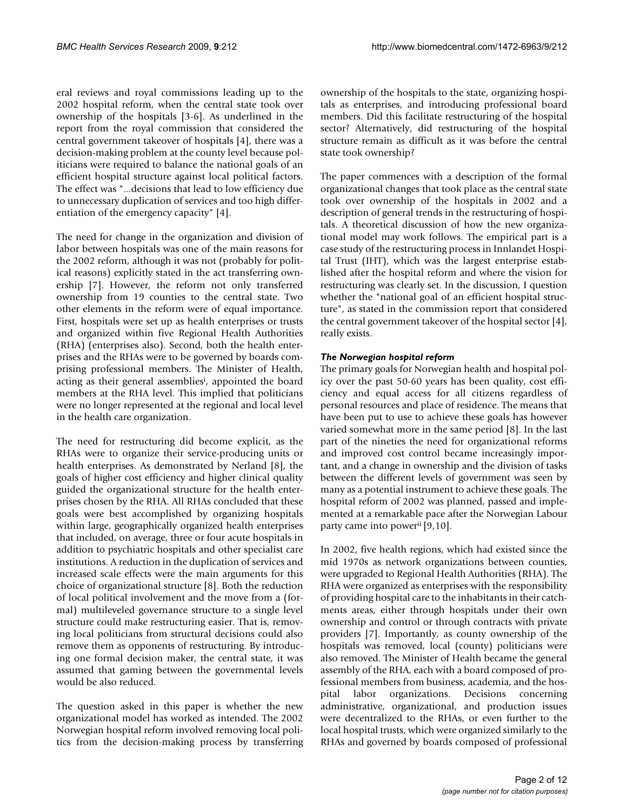eral reviews and royal commissions leading up to the 2002 hospital reform, when the central state took over ownership of the hospitals [3-6]. As underlined in the report from the royal commission that considered the central government takeover of hospitals [4], there was a decision-making problem at the county level because politicians were required to balance the national goals of an efficient hospital structure against local political factors. The effect was "...decisions that lead to low efficiency due to unnecessary duplication of services and too high differentiation of the emergency capacity" [4].

The need for change in the organization and division of labor between hospitals was one of the main reasons for the 2002 reform, although it was not (probably for political reasons) explicitly stated in the act transferring ownership [7]. However, the reform not only transferred ownership from 19 counties to the central state. Two other elements in the reform were of equal importance. First, hospitals were set up as health enterprises or trusts and organized within five Regional Health Authorities (RHA) (enterprises also). Second, both the health enterprises and the RHAs were to be governed by boards comprising professional members. The Minister of Health, acting as their general assembliesi , appointed the board members at the RHA level. This implied that politicians were no longer represented at the regional and local level in the health care organization.

The need for restructuring did become explicit, as the RHAs were to organize their service-producing units or health enterprises. As demonstrated by Nerland [8], the goals of higher cost efficiency and higher clinical quality guided the organizational structure for the health enterprises chosen by the RHA. All RHAs concluded that these goals were best accomplished by organizing hospitals within large, geographically organized health enterprises that included, on average, three or four acute hospitals in addition to psychiatric hospitals and other specialist care institutions. A reduction in the duplication of services and increased scale effects were the main arguments for this choice of organizational structure [8]. Both the reduction of local political involvement and the move from a (formal) multileveled governance structure to a single level structure could make restructuring easier. That is, removing local politicians from structural decisions could also remove them as opponents of restructuring. By introducing one formal decision maker, the central state, it was assumed that gaming between the governmental levels would be also reduced.

The question asked in this paper is whether the new organizational model has worked as intended. The 2002 Norwegian hospital reform involved removing local politics from the decision-making process by transferring

ownership of the hospitals to the state, organizing hospitals as enterprises, and introducing professional board members. Did this facilitate restructuring of the hospital sector? Alternatively, did restructuring of the hospital structure remain as difficult as it was before the central state took ownership?

The paper commences with a description of the formal organizational changes that took place as the central state took over ownership of the hospitals in 2002 and a description of general trends in the restructuring of hospitals. A theoretical discussion of how the new organizational model may work follows. The empirical part is a case study of the restructuring process in Innlandet Hospital Trust (IHT), which was the largest enterprise established after the hospital reform and where the vision for restructuring was clearly set. In the discussion, I question whether the "national goal of an efficient hospital structure", as stated in the commission report that considered the central government takeover of the hospital sector [4], really exists.

## *The Norwegian hospital reform*

The primary goals for Norwegian health and hospital policy over the past 50-60 years has been quality, cost efficiency and equal access for all citizens regardless of personal resources and place of residence. The means that have been put to use to achieve these goals has however varied somewhat more in the same period [8]. In the last part of the nineties the need for organizational reforms and improved cost control became increasingly important, and a change in ownership and the division of tasks between the different levels of government was seen by many as a potential instrument to achieve these goals. The hospital reform of 2002 was planned, passed and implemented at a remarkable pace after the Norwegian Labour party came into powerii [9,10].

In 2002, five health regions, which had existed since the mid 1970s as network organizations between counties, were upgraded to Regional Health Authorities (RHA). The RHA were organized as enterprises with the responsibility of providing hospital care to the inhabitants in their catchments areas, either through hospitals under their own ownership and control or through contracts with private providers [7]. Importantly, as county ownership of the hospitals was removed, local (county) politicians were also removed. The Minister of Health became the general assembly of the RHA, each with a board composed of professional members from business, academia, and the hospital labor organizations. Decisions concerning administrative, organizational, and production issues were decentralized to the RHAs, or even further to the local hospital trusts, which were organized similarly to the RHAs and governed by boards composed of professional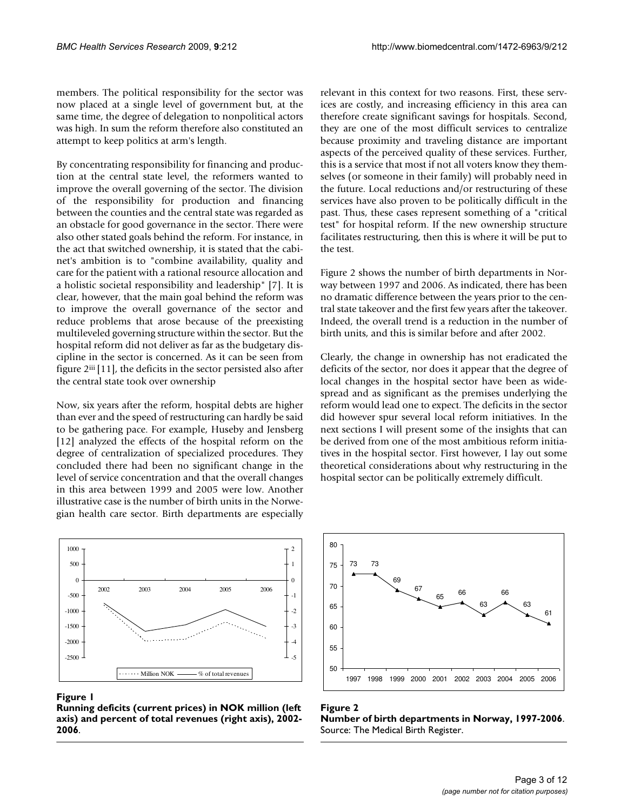members. The political responsibility for the sector was now placed at a single level of government but, at the same time, the degree of delegation to nonpolitical actors was high. In sum the reform therefore also constituted an attempt to keep politics at arm's length.

By concentrating responsibility for financing and production at the central state level, the reformers wanted to improve the overall governing of the sector. The division of the responsibility for production and financing between the counties and the central state was regarded as an obstacle for good governance in the sector. There were also other stated goals behind the reform. For instance, in the act that switched ownership, it is stated that the cabinet's ambition is to "combine availability, quality and care for the patient with a rational resource allocation and a holistic societal responsibility and leadership" [7]. It is clear, however, that the main goal behind the reform was to improve the overall governance of the sector and reduce problems that arose because of the preexisting multileveled governing structure within the sector. But the hospital reform did not deliver as far as the budgetary discipline in the sector is concerned. As it can be seen from figure 2iii [11], the deficits in the sector persisted also after the central state took over ownership

Now, six years after the reform, hospital debts are higher than ever and the speed of restructuring can hardly be said to be gathering pace. For example, Huseby and Jensberg [12] analyzed the effects of the hospital reform on the degree of centralization of specialized procedures. They concluded there had been no significant change in the level of service concentration and that the overall changes in this area between 1999 and 2005 were low. Another illustrative case is the number of birth units in the Norwegian health care sector. Birth departments are especially



#### Figure 1

**Running deficits (current prices) in NOK million (left axis) and percent of total revenues (right axis), 2002- 2006**.

relevant in this context for two reasons. First, these services are costly, and increasing efficiency in this area can therefore create significant savings for hospitals. Second, they are one of the most difficult services to centralize because proximity and traveling distance are important aspects of the perceived quality of these services. Further, this is a service that most if not all voters know they themselves (or someone in their family) will probably need in the future. Local reductions and/or restructuring of these services have also proven to be politically difficult in the past. Thus, these cases represent something of a "critical test" for hospital reform. If the new ownership structure facilitates restructuring, then this is where it will be put to the test.

Figure 2 shows the number of birth departments in Norway between 1997 and 2006. As indicated, there has been no dramatic difference between the years prior to the central state takeover and the first few years after the takeover. Indeed, the overall trend is a reduction in the number of birth units, and this is similar before and after 2002.

Clearly, the change in ownership has not eradicated the deficits of the sector, nor does it appear that the degree of local changes in the hospital sector have been as widespread and as significant as the premises underlying the reform would lead one to expect. The deficits in the sector did however spur several local reform initiatives. In the next sections I will present some of the insights that can be derived from one of the most ambitious reform initiatives in the hospital sector. First however, I lay out some theoretical considerations about why restructuring in the hospital sector can be politically extremely difficult.



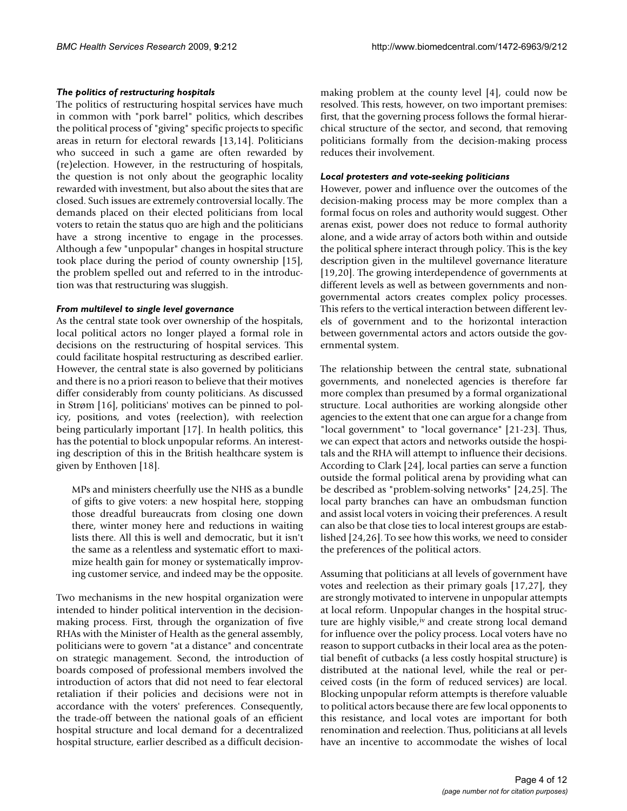#### *The politics of restructuring hospitals*

The politics of restructuring hospital services have much in common with "pork barrel" politics, which describes the political process of "giving" specific projects to specific areas in return for electoral rewards [13,14]. Politicians who succeed in such a game are often rewarded by (re)election. However, in the restructuring of hospitals, the question is not only about the geographic locality rewarded with investment, but also about the sites that are closed. Such issues are extremely controversial locally. The demands placed on their elected politicians from local voters to retain the status quo are high and the politicians have a strong incentive to engage in the processes. Although a few "unpopular" changes in hospital structure took place during the period of county ownership [15], the problem spelled out and referred to in the introduction was that restructuring was sluggish.

#### *From multilevel to single level governance*

As the central state took over ownership of the hospitals, local political actors no longer played a formal role in decisions on the restructuring of hospital services. This could facilitate hospital restructuring as described earlier. However, the central state is also governed by politicians and there is no a priori reason to believe that their motives differ considerably from county politicians. As discussed in Strøm [16], politicians' motives can be pinned to policy, positions, and votes (reelection), with reelection being particularly important [17]. In health politics, this has the potential to block unpopular reforms. An interesting description of this in the British healthcare system is given by Enthoven [18].

MPs and ministers cheerfully use the NHS as a bundle of gifts to give voters: a new hospital here, stopping those dreadful bureaucrats from closing one down there, winter money here and reductions in waiting lists there. All this is well and democratic, but it isn't the same as a relentless and systematic effort to maximize health gain for money or systematically improving customer service, and indeed may be the opposite.

Two mechanisms in the new hospital organization were intended to hinder political intervention in the decisionmaking process. First, through the organization of five RHAs with the Minister of Health as the general assembly, politicians were to govern "at a distance" and concentrate on strategic management. Second, the introduction of boards composed of professional members involved the introduction of actors that did not need to fear electoral retaliation if their policies and decisions were not in accordance with the voters' preferences. Consequently, the trade-off between the national goals of an efficient hospital structure and local demand for a decentralized hospital structure, earlier described as a difficult decisionmaking problem at the county level [4], could now be resolved. This rests, however, on two important premises: first, that the governing process follows the formal hierarchical structure of the sector, and second, that removing politicians formally from the decision-making process reduces their involvement.

#### *Local protesters and vote-seeking politicians*

However, power and influence over the outcomes of the decision-making process may be more complex than a formal focus on roles and authority would suggest. Other arenas exist, power does not reduce to formal authority alone, and a wide array of actors both within and outside the political sphere interact through policy. This is the key description given in the multilevel governance literature [19,20]. The growing interdependence of governments at different levels as well as between governments and nongovernmental actors creates complex policy processes. This refers to the vertical interaction between different levels of government and to the horizontal interaction between governmental actors and actors outside the governmental system.

The relationship between the central state, subnational governments, and nonelected agencies is therefore far more complex than presumed by a formal organizational structure. Local authorities are working alongside other agencies to the extent that one can argue for a change from "local government" to "local governance" [21-23]. Thus, we can expect that actors and networks outside the hospitals and the RHA will attempt to influence their decisions. According to Clark [24], local parties can serve a function outside the formal political arena by providing what can be described as "problem-solving networks" [24,25]. The local party branches can have an ombudsman function and assist local voters in voicing their preferences. A result can also be that close ties to local interest groups are established [24,26]. To see how this works, we need to consider the preferences of the political actors.

Assuming that politicians at all levels of government have votes and reelection as their primary goals [17,27], they are strongly motivated to intervene in unpopular attempts at local reform. Unpopular changes in the hospital structure are highly visible, iv and create strong local demand for influence over the policy process. Local voters have no reason to support cutbacks in their local area as the potential benefit of cutbacks (a less costly hospital structure) is distributed at the national level, while the real or perceived costs (in the form of reduced services) are local. Blocking unpopular reform attempts is therefore valuable to political actors because there are few local opponents to this resistance, and local votes are important for both renomination and reelection. Thus, politicians at all levels have an incentive to accommodate the wishes of local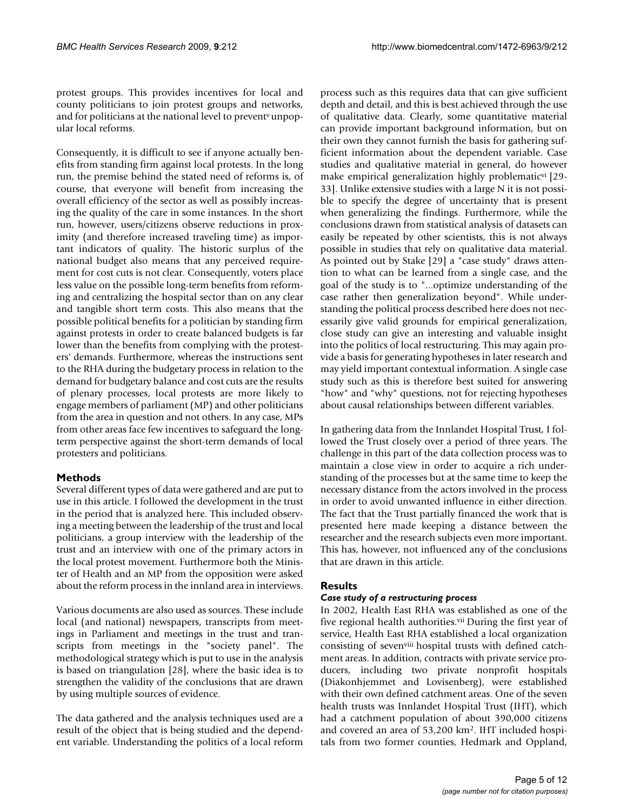protest groups. This provides incentives for local and county politicians to join protest groups and networks, and for politicians at the national level to prevent<sup>v</sup> unpopular local reforms.

Consequently, it is difficult to see if anyone actually benefits from standing firm against local protests. In the long run, the premise behind the stated need of reforms is, of course, that everyone will benefit from increasing the overall efficiency of the sector as well as possibly increasing the quality of the care in some instances. In the short run, however, users/citizens observe reductions in proximity (and therefore increased traveling time) as important indicators of quality. The historic surplus of the national budget also means that any perceived requirement for cost cuts is not clear. Consequently, voters place less value on the possible long-term benefits from reforming and centralizing the hospital sector than on any clear and tangible short term costs. This also means that the possible political benefits for a politician by standing firm against protests in order to create balanced budgets is far lower than the benefits from complying with the protesters' demands. Furthermore, whereas the instructions sent to the RHA during the budgetary process in relation to the demand for budgetary balance and cost cuts are the results of plenary processes, local protests are more likely to engage members of parliament (MP) and other politicians from the area in question and not others. In any case, MPs from other areas face few incentives to safeguard the longterm perspective against the short-term demands of local protesters and politicians.

## **Methods**

Several different types of data were gathered and are put to use in this article. I followed the development in the trust in the period that is analyzed here. This included observing a meeting between the leadership of the trust and local politicians, a group interview with the leadership of the trust and an interview with one of the primary actors in the local protest movement. Furthermore both the Minister of Health and an MP from the opposition were asked about the reform process in the innland area in interviews.

Various documents are also used as sources. These include local (and national) newspapers, transcripts from meetings in Parliament and meetings in the trust and transcripts from meetings in the "society panel". The methodological strategy which is put to use in the analysis is based on triangulation [28], where the basic idea is to strengthen the validity of the conclusions that are drawn by using multiple sources of evidence.

The data gathered and the analysis techniques used are a result of the object that is being studied and the dependent variable. Understanding the politics of a local reform

process such as this requires data that can give sufficient depth and detail, and this is best achieved through the use of qualitative data. Clearly, some quantitative material can provide important background information, but on their own they cannot furnish the basis for gathering sufficient information about the dependent variable. Case studies and qualitative material in general, do however make empirical generalization highly problematicvi [29- 33]. Unlike extensive studies with a large N it is not possible to specify the degree of uncertainty that is present when generalizing the findings. Furthermore, while the conclusions drawn from statistical analysis of datasets can easily be repeated by other scientists, this is not always possible in studies that rely on qualitative data material. As pointed out by Stake [29] a "case study" draws attention to what can be learned from a single case, and the goal of the study is to "...optimize understanding of the case rather then generalization beyond". While understanding the political process described here does not necessarily give valid grounds for empirical generalization, close study can give an interesting and valuable insight into the politics of local restructuring. This may again provide a basis for generating hypotheses in later research and may yield important contextual information. A single case study such as this is therefore best suited for answering "how" and "why" questions, not for rejecting hypotheses about causal relationships between different variables.

In gathering data from the Innlandet Hospital Trust, I followed the Trust closely over a period of three years. The challenge in this part of the data collection process was to maintain a close view in order to acquire a rich understanding of the processes but at the same time to keep the necessary distance from the actors involved in the process in order to avoid unwanted influence in either direction. The fact that the Trust partially financed the work that is presented here made keeping a distance between the researcher and the research subjects even more important. This has, however, not influenced any of the conclusions that are drawn in this article.

## **Results**

## *Case study of a restructuring process*

In 2002, Health East RHA was established as one of the five regional health authorities.<sup>vii</sup> During the first year of service, Health East RHA established a local organization consisting of sevenviii hospital trusts with defined catchment areas. In addition, contracts with private service producers, including two private nonprofit hospitals (Diakonhjemmet and Lovisenberg), were established with their own defined catchment areas. One of the seven health trusts was Innlandet Hospital Trust (IHT), which had a catchment population of about 390,000 citizens and covered an area of 53,200 km2. IHT included hospitals from two former counties, Hedmark and Oppland,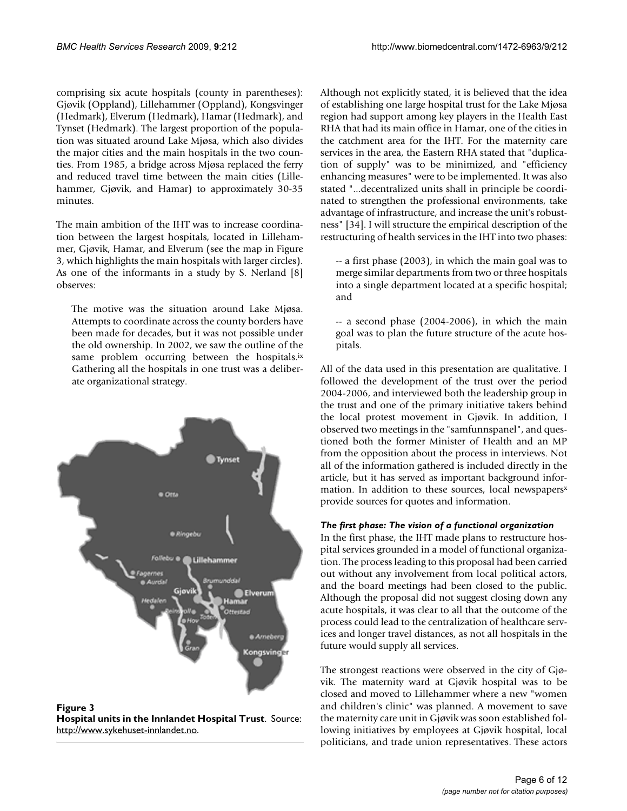comprising six acute hospitals (county in parentheses): Gjøvik (Oppland), Lillehammer (Oppland), Kongsvinger (Hedmark), Elverum (Hedmark), Hamar (Hedmark), and Tynset (Hedmark). The largest proportion of the population was situated around Lake Mjøsa, which also divides the major cities and the main hospitals in the two counties. From 1985, a bridge across Mjøsa replaced the ferry and reduced travel time between the main cities (Lillehammer, Gjøvik, and Hamar) to approximately 30-35 minutes.

The main ambition of the IHT was to increase coordination between the largest hospitals, located in Lillehammer, Gjøvik, Hamar, and Elverum (see the map in Figure 3, which highlights the main hospitals with larger circles). As one of the informants in a study by S. Nerland [8] observes:

The motive was the situation around Lake Mjøsa. Attempts to coordinate across the county borders have been made for decades, but it was not possible under the old ownership. In 2002, we saw the outline of the same problem occurring between the hospitals.ix Gathering all the hospitals in one trust was a deliberate organizational strategy.



**Figure 3 Hospital units in the Innlandet Hospital Trust**. Source: <http://www.sykehuset-innlandet.no>.

Although not explicitly stated, it is believed that the idea of establishing one large hospital trust for the Lake Mjøsa region had support among key players in the Health East RHA that had its main office in Hamar, one of the cities in the catchment area for the IHT. For the maternity care services in the area, the Eastern RHA stated that "duplication of supply" was to be minimized, and "efficiency enhancing measures" were to be implemented. It was also stated "...decentralized units shall in principle be coordinated to strengthen the professional environments, take advantage of infrastructure, and increase the unit's robustness" [34]. I will structure the empirical description of the restructuring of health services in the IHT into two phases:

-- a first phase (2003), in which the main goal was to merge similar departments from two or three hospitals into a single department located at a specific hospital; and

-- a second phase (2004-2006), in which the main goal was to plan the future structure of the acute hospitals.

All of the data used in this presentation are qualitative. I followed the development of the trust over the period 2004-2006, and interviewed both the leadership group in the trust and one of the primary initiative takers behind the local protest movement in Gjøvik. In addition, I observed two meetings in the "samfunnspanel", and questioned both the former Minister of Health and an MP from the opposition about the process in interviews. Not all of the information gathered is included directly in the article, but it has served as important background information. In addition to these sources, local newspapers<sup>x</sup> provide sources for quotes and information.

## *The first phase: The vision of a functional organization*

In the first phase, the IHT made plans to restructure hospital services grounded in a model of functional organization. The process leading to this proposal had been carried out without any involvement from local political actors, and the board meetings had been closed to the public. Although the proposal did not suggest closing down any acute hospitals, it was clear to all that the outcome of the process could lead to the centralization of healthcare services and longer travel distances, as not all hospitals in the future would supply all services.

The strongest reactions were observed in the city of Gjøvik. The maternity ward at Gjøvik hospital was to be closed and moved to Lillehammer where a new "women and children's clinic" was planned. A movement to save the maternity care unit in Gjøvik was soon established following initiatives by employees at Gjøvik hospital, local politicians, and trade union representatives. These actors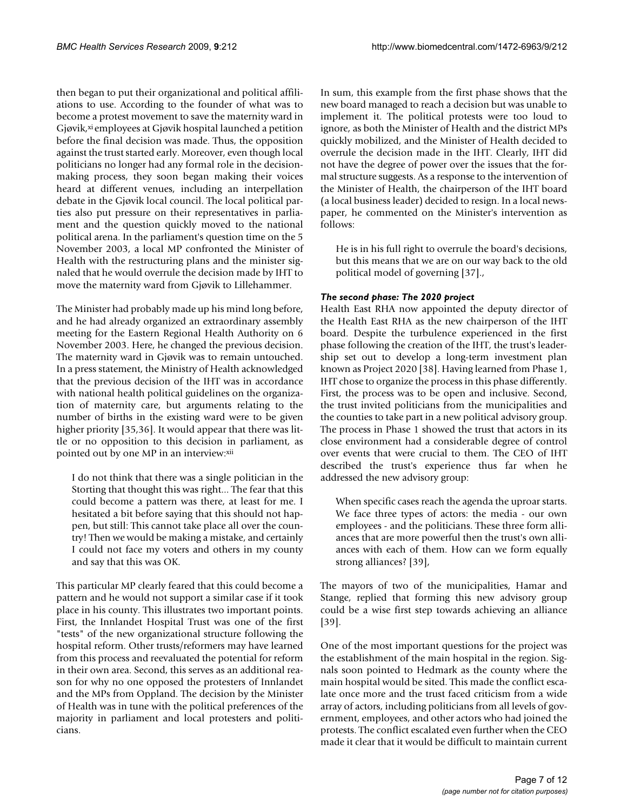then began to put their organizational and political affiliations to use. According to the founder of what was to become a protest movement to save the maternity ward in Gjøvik,<sup>xi</sup> employees at Gjøvik hospital launched a petition before the final decision was made. Thus, the opposition against the trust started early. Moreover, even though local politicians no longer had any formal role in the decisionmaking process, they soon began making their voices heard at different venues, including an interpellation debate in the Gjøvik local council. The local political parties also put pressure on their representatives in parliament and the question quickly moved to the national political arena. In the parliament's question time on the 5 November 2003, a local MP confronted the Minister of Health with the restructuring plans and the minister signaled that he would overrule the decision made by IHT to move the maternity ward from Gjøvik to Lillehammer.

The Minister had probably made up his mind long before, and he had already organized an extraordinary assembly meeting for the Eastern Regional Health Authority on 6 November 2003. Here, he changed the previous decision. The maternity ward in Gjøvik was to remain untouched. In a press statement, the Ministry of Health acknowledged that the previous decision of the IHT was in accordance with national health political guidelines on the organization of maternity care, but arguments relating to the number of births in the existing ward were to be given higher priority [35,36]. It would appear that there was little or no opposition to this decision in parliament, as pointed out by one MP in an interview:xii

I do not think that there was a single politician in the Storting that thought this was right... The fear that this could become a pattern was there, at least for me. I hesitated a bit before saying that this should not happen, but still: This cannot take place all over the country! Then we would be making a mistake, and certainly I could not face my voters and others in my county and say that this was OK.

This particular MP clearly feared that this could become a pattern and he would not support a similar case if it took place in his county. This illustrates two important points. First, the Innlandet Hospital Trust was one of the first "tests" of the new organizational structure following the hospital reform. Other trusts/reformers may have learned from this process and reevaluated the potential for reform in their own area. Second, this serves as an additional reason for why no one opposed the protesters of Innlandet and the MPs from Oppland. The decision by the Minister of Health was in tune with the political preferences of the majority in parliament and local protesters and politicians.

In sum, this example from the first phase shows that the new board managed to reach a decision but was unable to implement it. The political protests were too loud to ignore, as both the Minister of Health and the district MPs quickly mobilized, and the Minister of Health decided to overrule the decision made in the IHT. Clearly, IHT did not have the degree of power over the issues that the formal structure suggests. As a response to the intervention of the Minister of Health, the chairperson of the IHT board (a local business leader) decided to resign. In a local newspaper, he commented on the Minister's intervention as follows:

He is in his full right to overrule the board's decisions, but this means that we are on our way back to the old political model of governing [37].,

## *The second phase: The 2020 project*

Health East RHA now appointed the deputy director of the Health East RHA as the new chairperson of the IHT board. Despite the turbulence experienced in the first phase following the creation of the IHT, the trust's leadership set out to develop a long-term investment plan known as Project 2020 [38]. Having learned from Phase 1, IHT chose to organize the process in this phase differently. First, the process was to be open and inclusive. Second, the trust invited politicians from the municipalities and the counties to take part in a new political advisory group. The process in Phase 1 showed the trust that actors in its close environment had a considerable degree of control over events that were crucial to them. The CEO of IHT described the trust's experience thus far when he addressed the new advisory group:

When specific cases reach the agenda the uproar starts. We face three types of actors: the media - our own employees - and the politicians. These three form alliances that are more powerful then the trust's own alliances with each of them. How can we form equally strong alliances? [39],

The mayors of two of the municipalities, Hamar and Stange, replied that forming this new advisory group could be a wise first step towards achieving an alliance [39].

One of the most important questions for the project was the establishment of the main hospital in the region. Signals soon pointed to Hedmark as the county where the main hospital would be sited. This made the conflict escalate once more and the trust faced criticism from a wide array of actors, including politicians from all levels of government, employees, and other actors who had joined the protests. The conflict escalated even further when the CEO made it clear that it would be difficult to maintain current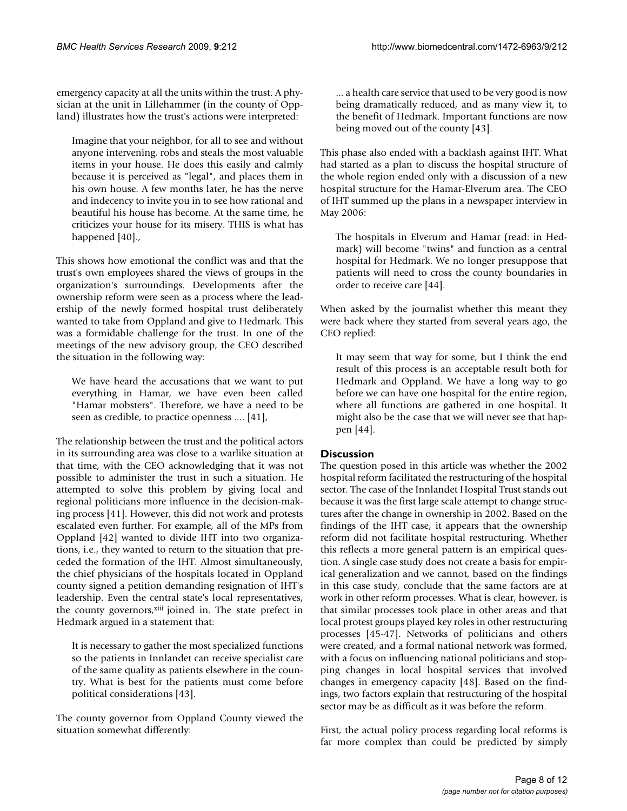emergency capacity at all the units within the trust. A physician at the unit in Lillehammer (in the county of Oppland) illustrates how the trust's actions were interpreted:

Imagine that your neighbor, for all to see and without anyone intervening, robs and steals the most valuable items in your house. He does this easily and calmly because it is perceived as "legal", and places them in his own house. A few months later, he has the nerve and indecency to invite you in to see how rational and beautiful his house has become. At the same time, he criticizes your house for its misery. THIS is what has happened [40].,

This shows how emotional the conflict was and that the trust's own employees shared the views of groups in the organization's surroundings. Developments after the ownership reform were seen as a process where the leadership of the newly formed hospital trust deliberately wanted to take from Oppland and give to Hedmark. This was a formidable challenge for the trust. In one of the meetings of the new advisory group, the CEO described the situation in the following way:

We have heard the accusations that we want to put everything in Hamar, we have even been called "Hamar mobsters". Therefore, we have a need to be seen as credible, to practice openness .... [41],

The relationship between the trust and the political actors in its surrounding area was close to a warlike situation at that time, with the CEO acknowledging that it was not possible to administer the trust in such a situation. He attempted to solve this problem by giving local and regional politicians more influence in the decision-making process [41]. However, this did not work and protests escalated even further. For example, all of the MPs from Oppland [42] wanted to divide IHT into two organizations, i.e., they wanted to return to the situation that preceded the formation of the IHT. Almost simultaneously, the chief physicians of the hospitals located in Oppland county signed a petition demanding resignation of IHT's leadership. Even the central state's local representatives, the county governors,<sup>xiii</sup> joined in. The state prefect in Hedmark argued in a statement that:

It is necessary to gather the most specialized functions so the patients in Innlandet can receive specialist care of the same quality as patients elsewhere in the country. What is best for the patients must come before political considerations [43].

The county governor from Oppland County viewed the situation somewhat differently:

... a health care service that used to be very good is now being dramatically reduced, and as many view it, to the benefit of Hedmark. Important functions are now being moved out of the county [43].

This phase also ended with a backlash against IHT. What had started as a plan to discuss the hospital structure of the whole region ended only with a discussion of a new hospital structure for the Hamar-Elverum area. The CEO of IHT summed up the plans in a newspaper interview in May 2006:

The hospitals in Elverum and Hamar (read: in Hedmark) will become "twins" and function as a central hospital for Hedmark. We no longer presuppose that patients will need to cross the county boundaries in order to receive care [44].

When asked by the journalist whether this meant they were back where they started from several years ago, the CEO replied:

It may seem that way for some, but I think the end result of this process is an acceptable result both for Hedmark and Oppland. We have a long way to go before we can have one hospital for the entire region, where all functions are gathered in one hospital. It might also be the case that we will never see that happen [44].

## **Discussion**

The question posed in this article was whether the 2002 hospital reform facilitated the restructuring of the hospital sector. The case of the Innlandet Hospital Trust stands out because it was the first large scale attempt to change structures after the change in ownership in 2002. Based on the findings of the IHT case, it appears that the ownership reform did not facilitate hospital restructuring. Whether this reflects a more general pattern is an empirical question. A single case study does not create a basis for empirical generalization and we cannot, based on the findings in this case study, conclude that the same factors are at work in other reform processes. What is clear, however, is that similar processes took place in other areas and that local protest groups played key roles in other restructuring processes [45-47]. Networks of politicians and others were created, and a formal national network was formed, with a focus on influencing national politicians and stopping changes in local hospital services that involved changes in emergency capacity [48]. Based on the findings, two factors explain that restructuring of the hospital sector may be as difficult as it was before the reform.

First, the actual policy process regarding local reforms is far more complex than could be predicted by simply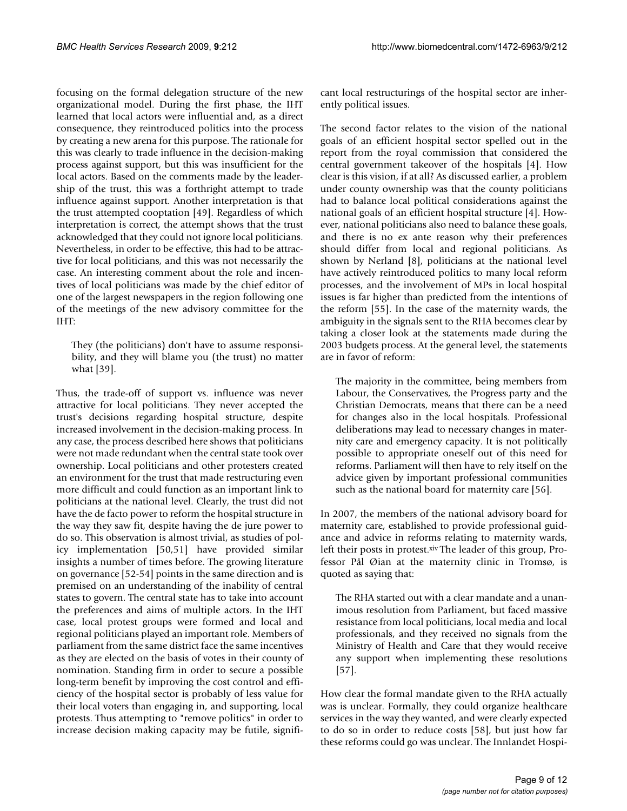focusing on the formal delegation structure of the new organizational model. During the first phase, the IHT learned that local actors were influential and, as a direct consequence, they reintroduced politics into the process by creating a new arena for this purpose. The rationale for this was clearly to trade influence in the decision-making process against support, but this was insufficient for the local actors. Based on the comments made by the leadership of the trust, this was a forthright attempt to trade influence against support. Another interpretation is that the trust attempted cooptation [49]. Regardless of which interpretation is correct, the attempt shows that the trust acknowledged that they could not ignore local politicians. Nevertheless, in order to be effective, this had to be attractive for local politicians, and this was not necessarily the case. An interesting comment about the role and incentives of local politicians was made by the chief editor of one of the largest newspapers in the region following one of the meetings of the new advisory committee for the IHT:

They (the politicians) don't have to assume responsibility, and they will blame you (the trust) no matter what [39].

Thus, the trade-off of support vs. influence was never attractive for local politicians. They never accepted the trust's decisions regarding hospital structure, despite increased involvement in the decision-making process. In any case, the process described here shows that politicians were not made redundant when the central state took over ownership. Local politicians and other protesters created an environment for the trust that made restructuring even more difficult and could function as an important link to politicians at the national level. Clearly, the trust did not have the de facto power to reform the hospital structure in the way they saw fit, despite having the de jure power to do so. This observation is almost trivial, as studies of policy implementation [50,51] have provided similar insights a number of times before. The growing literature on governance [52-54] points in the same direction and is premised on an understanding of the inability of central states to govern. The central state has to take into account the preferences and aims of multiple actors. In the IHT case, local protest groups were formed and local and regional politicians played an important role. Members of parliament from the same district face the same incentives as they are elected on the basis of votes in their county of nomination. Standing firm in order to secure a possible long-term benefit by improving the cost control and efficiency of the hospital sector is probably of less value for their local voters than engaging in, and supporting, local protests. Thus attempting to "remove politics" in order to increase decision making capacity may be futile, significant local restructurings of the hospital sector are inherently political issues.

The second factor relates to the vision of the national goals of an efficient hospital sector spelled out in the report from the royal commission that considered the central government takeover of the hospitals [4]. How clear is this vision, if at all? As discussed earlier, a problem under county ownership was that the county politicians had to balance local political considerations against the national goals of an efficient hospital structure [4]. However, national politicians also need to balance these goals, and there is no ex ante reason why their preferences should differ from local and regional politicians. As shown by Nerland [8], politicians at the national level have actively reintroduced politics to many local reform processes, and the involvement of MPs in local hospital issues is far higher than predicted from the intentions of the reform [55]. In the case of the maternity wards, the ambiguity in the signals sent to the RHA becomes clear by taking a closer look at the statements made during the 2003 budgets process. At the general level, the statements are in favor of reform:

The majority in the committee, being members from Labour, the Conservatives, the Progress party and the Christian Democrats, means that there can be a need for changes also in the local hospitals. Professional deliberations may lead to necessary changes in maternity care and emergency capacity. It is not politically possible to appropriate oneself out of this need for reforms. Parliament will then have to rely itself on the advice given by important professional communities such as the national board for maternity care [56].

In 2007, the members of the national advisory board for maternity care, established to provide professional guidance and advice in reforms relating to maternity wards, left their posts in protest.xiv The leader of this group, Professor Pål Øian at the maternity clinic in Tromsø, is quoted as saying that:

The RHA started out with a clear mandate and a unanimous resolution from Parliament, but faced massive resistance from local politicians, local media and local professionals, and they received no signals from the Ministry of Health and Care that they would receive any support when implementing these resolutions [57].

How clear the formal mandate given to the RHA actually was is unclear. Formally, they could organize healthcare services in the way they wanted, and were clearly expected to do so in order to reduce costs [58], but just how far these reforms could go was unclear. The Innlandet Hospi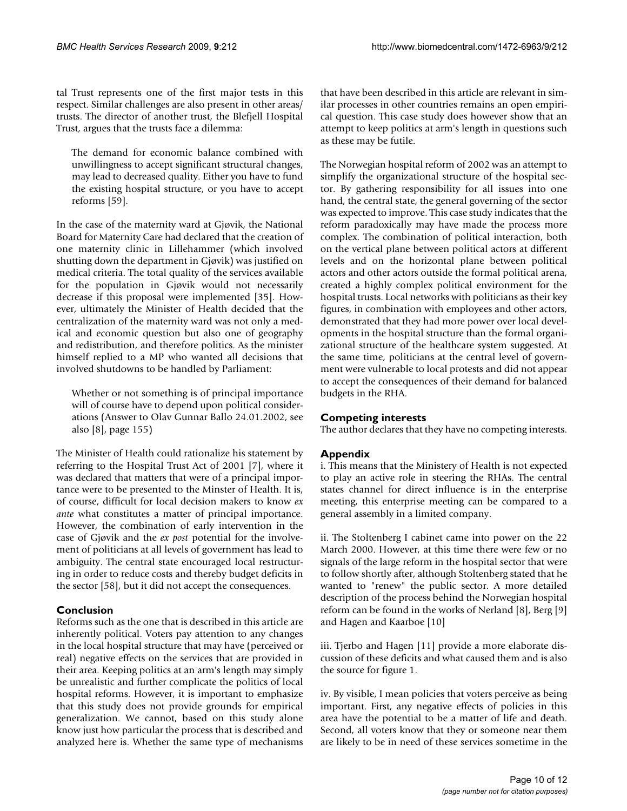tal Trust represents one of the first major tests in this respect. Similar challenges are also present in other areas/ trusts. The director of another trust, the Blefjell Hospital Trust, argues that the trusts face a dilemma:

The demand for economic balance combined with unwillingness to accept significant structural changes, may lead to decreased quality. Either you have to fund the existing hospital structure, or you have to accept reforms [59].

In the case of the maternity ward at Gjøvik, the National Board for Maternity Care had declared that the creation of one maternity clinic in Lillehammer (which involved shutting down the department in Gjøvik) was justified on medical criteria. The total quality of the services available for the population in Gjøvik would not necessarily decrease if this proposal were implemented [35]. However, ultimately the Minister of Health decided that the centralization of the maternity ward was not only a medical and economic question but also one of geography and redistribution, and therefore politics. As the minister himself replied to a MP who wanted all decisions that involved shutdowns to be handled by Parliament:

Whether or not something is of principal importance will of course have to depend upon political considerations (Answer to Olav Gunnar Ballo 24.01.2002, see also [8], page 155)

The Minister of Health could rationalize his statement by referring to the Hospital Trust Act of 2001 [7], where it was declared that matters that were of a principal importance were to be presented to the Minster of Health. It is, of course, difficult for local decision makers to know *ex ante* what constitutes a matter of principal importance. However, the combination of early intervention in the case of Gjøvik and the *ex post* potential for the involvement of politicians at all levels of government has lead to ambiguity. The central state encouraged local restructuring in order to reduce costs and thereby budget deficits in the sector [58], but it did not accept the consequences.

## **Conclusion**

Reforms such as the one that is described in this article are inherently political. Voters pay attention to any changes in the local hospital structure that may have (perceived or real) negative effects on the services that are provided in their area. Keeping politics at an arm's length may simply be unrealistic and further complicate the politics of local hospital reforms. However, it is important to emphasize that this study does not provide grounds for empirical generalization. We cannot, based on this study alone know just how particular the process that is described and analyzed here is. Whether the same type of mechanisms that have been described in this article are relevant in similar processes in other countries remains an open empirical question. This case study does however show that an attempt to keep politics at arm's length in questions such as these may be futile.

The Norwegian hospital reform of 2002 was an attempt to simplify the organizational structure of the hospital sector. By gathering responsibility for all issues into one hand, the central state, the general governing of the sector was expected to improve. This case study indicates that the reform paradoxically may have made the process more complex. The combination of political interaction, both on the vertical plane between political actors at different levels and on the horizontal plane between political actors and other actors outside the formal political arena, created a highly complex political environment for the hospital trusts. Local networks with politicians as their key figures, in combination with employees and other actors, demonstrated that they had more power over local developments in the hospital structure than the formal organizational structure of the healthcare system suggested. At the same time, politicians at the central level of government were vulnerable to local protests and did not appear to accept the consequences of their demand for balanced budgets in the RHA.

## **Competing interests**

The author declares that they have no competing interests.

## **Appendix**

i. This means that the Ministery of Health is not expected to play an active role in steering the RHAs. The central states channel for direct influence is in the enterprise meeting, this enterprise meeting can be compared to a general assembly in a limited company.

ii. The Stoltenberg I cabinet came into power on the 22 March 2000. However, at this time there were few or no signals of the large reform in the hospital sector that were to follow shortly after, although Stoltenberg stated that he wanted to "renew" the public sector. A more detailed description of the process behind the Norwegian hospital reform can be found in the works of Nerland [8], Berg [9] and Hagen and Kaarboe [10]

iii. Tjerbo and Hagen [11] provide a more elaborate discussion of these deficits and what caused them and is also the source for figure 1.

iv. By visible, I mean policies that voters perceive as being important. First, any negative effects of policies in this area have the potential to be a matter of life and death. Second, all voters know that they or someone near them are likely to be in need of these services sometime in the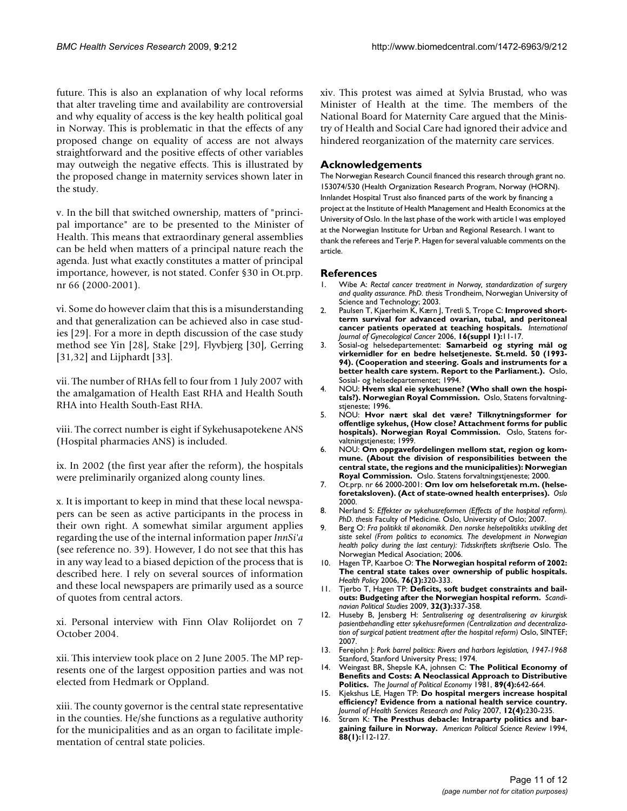future. This is also an explanation of why local reforms that alter traveling time and availability are controversial and why equality of access is the key health political goal in Norway. This is problematic in that the effects of any proposed change on equality of access are not always straightforward and the positive effects of other variables may outweigh the negative effects. This is illustrated by the proposed change in maternity services shown later in the study.

v. In the bill that switched ownership, matters of "principal importance" are to be presented to the Minister of Health. This means that extraordinary general assemblies can be held when matters of a principal nature reach the agenda. Just what exactly constitutes a matter of principal importance, however, is not stated. Confer §30 in Ot.prp. nr 66 (2000-2001).

vi. Some do however claim that this is a misunderstanding and that generalization can be achieved also in case studies [29]. For a more in depth discussion of the case study method see Yin [28], Stake [29], Flyvbjerg [30], Gerring [31,32] and Lijphardt [33].

vii. The number of RHAs fell to four from 1 July 2007 with the amalgamation of Health East RHA and Health South RHA into Health South-East RHA.

viii. The correct number is eight if Sykehusapotekene ANS (Hospital pharmacies ANS) is included.

ix. In 2002 (the first year after the reform), the hospitals were preliminarily organized along county lines.

x. It is important to keep in mind that these local newspapers can be seen as active participants in the process in their own right. A somewhat similar argument applies regarding the use of the internal information paper *InnSi'a* (see reference no. 39). However, I do not see that this has in any way lead to a biased depiction of the process that is described here. I rely on several sources of information and these local newspapers are primarily used as a source of quotes from central actors.

xi. Personal interview with Finn Olav Rolijordet on 7 October 2004.

xii. This interview took place on 2 June 2005. The MP represents one of the largest opposition parties and was not elected from Hedmark or Oppland.

xiii. The county governor is the central state representative in the counties. He/she functions as a regulative authority for the municipalities and as an organ to facilitate implementation of central state policies.

xiv. This protest was aimed at Sylvia Brustad, who was Minister of Health at the time. The members of the National Board for Maternity Care argued that the Ministry of Health and Social Care had ignored their advice and hindered reorganization of the maternity care services.

#### **Acknowledgements**

The Norwegian Research Council financed this research through grant no. 153074/530 (Health Organization Research Program, Norway (HORN). Innlandet Hospital Trust also financed parts of the work by financing a project at the Institute of Health Management and Health Economics at the University of Oslo. In the last phase of the work with article I was employed at the Norwegian Institute for Urban and Regional Research. I want to thank the referees and Terje P. Hagen for several valuable comments on the article.

#### **References**

- 1. Wibe A: *Rectal cancer treatment in Norway, standardization of surgery and quality assurance. PhD. thesis* Trondheim, Norwegian University of Science and Technology; 2003.
- 2. Paulsen T, Kjaerheim K, Kærn J, Tretli S, Trope C: **[Improved short](http://www.ncbi.nlm.nih.gov/entrez/query.fcgi?cmd=Retrieve&db=PubMed&dopt=Abstract&list_uids=16515561)[term survival for advanced ovarian, tubal, and peritoneal](http://www.ncbi.nlm.nih.gov/entrez/query.fcgi?cmd=Retrieve&db=PubMed&dopt=Abstract&list_uids=16515561) [cancer patients operated at teaching hospitals.](http://www.ncbi.nlm.nih.gov/entrez/query.fcgi?cmd=Retrieve&db=PubMed&dopt=Abstract&list_uids=16515561)** *International Journal of Gynecological Cancer* 2006, **16(suppl 1):**11-17.
- 3. Sosial-og helsedepartementet: **Samarbeid og styring mål og virkemidler for en bedre helsetjeneste. St.meld. 50 (1993- 94). (Cooperation and steering. Goals and instruments for a better health care system. Report to the Parliament.).** Oslo, Sosial- og helsedepartementet; 1994.
- 4. NOU: **Hvem skal eie sykehusene? (Who shall own the hospitals?). Norwegian Royal Commission.** Oslo, Statens forvaltningstjeneste; 1996.
- 5. NOU: **Hvor nært skal det være? Tilknytningsformer for offentlige sykehus, (How close? Attachment forms for public hospitals). Norwegian Royal Commission.** Oslo, Statens forvaltningstjeneste; 1999.
- 6. NOU: **Om oppgavefordelingen mellom stat, region og kommune. (About the division of responsibilities between the central state, the regions and the municipalities): Norwegian Royal Commission.** Oslo. Statens forvaltningstjeneste; 2000.
- 7. Ot.prp. nr 66 2000-2001: **Om lov om helseforetak m.m. (helseforetaksloven). (Act of state-owned health enterprises).** *Oslo* 2000.
- 8. Nerland S: *Effekter av sykehusreformen (Effects of the hospital reform). PhD. thesis* Faculty of Medicine. Oslo, University of Oslo; 2007.
- 9. Berg O: *Fra politikk til økonomikk. Den norske helsepolitikks utvikling det siste sekel (From politics to economics. The development in Norwegian health policy during the last century): Tidsskriftets skriftserie* Oslo. The Norwegian Medical Asociation; 2006.
- 10. Hagen TP, Kaarboe O: **[The Norwegian hospital reform of 2002:](http://www.ncbi.nlm.nih.gov/entrez/query.fcgi?cmd=Retrieve&db=PubMed&dopt=Abstract&list_uids=16099530) [The central state takes over ownership of public hospitals.](http://www.ncbi.nlm.nih.gov/entrez/query.fcgi?cmd=Retrieve&db=PubMed&dopt=Abstract&list_uids=16099530)** *Health Policy* 2006, **76(3):**320-333.
- 11. Tjerbo T, Hagen TP: **Deficits, soft budget constraints and bailouts: Budgeting after the Norwegian hospital reform.** *Scandinavian Political Studies* 2009, **32(3):**337-358.
- 12. Huseby B, Jensberg H: *Sentralisering og desentralisering av kirurgisk pasientbehandling etter sykehusreformen (Centralization and decentralization of surgical patient treatment after the hospital reform)* Oslo, SINTEF; 2007.
- 13. Ferejohn J: *Pork barrel politics: Rivers and harbors legislation, 1947-1968* Stanford, Stanford University Press; 1974.
- 14. Weingast BR, Shepsle KA, johnsen C: **The Political Economy of Benefits and Costs: A Neoclassical Approach to Distributive Politics.** *The Journal of Political Economy* 1981, **89(4):**642-664.
- 15. Kjekshus LE, Hagen TP: **[Do hospital mergers increase hospital](http://www.ncbi.nlm.nih.gov/entrez/query.fcgi?cmd=Retrieve&db=PubMed&dopt=Abstract&list_uids=17925075) [efficiency? Evidence from a national health service country.](http://www.ncbi.nlm.nih.gov/entrez/query.fcgi?cmd=Retrieve&db=PubMed&dopt=Abstract&list_uids=17925075)** *Journal of Health Services Research and Policy* 2007, **12(4):**230-235.
- 16. Strøm K: **The Presthus debacle: Intraparty politics and bargaining failure in Norway.** *American Political Science Review* 1994, **88(1):**112-127.